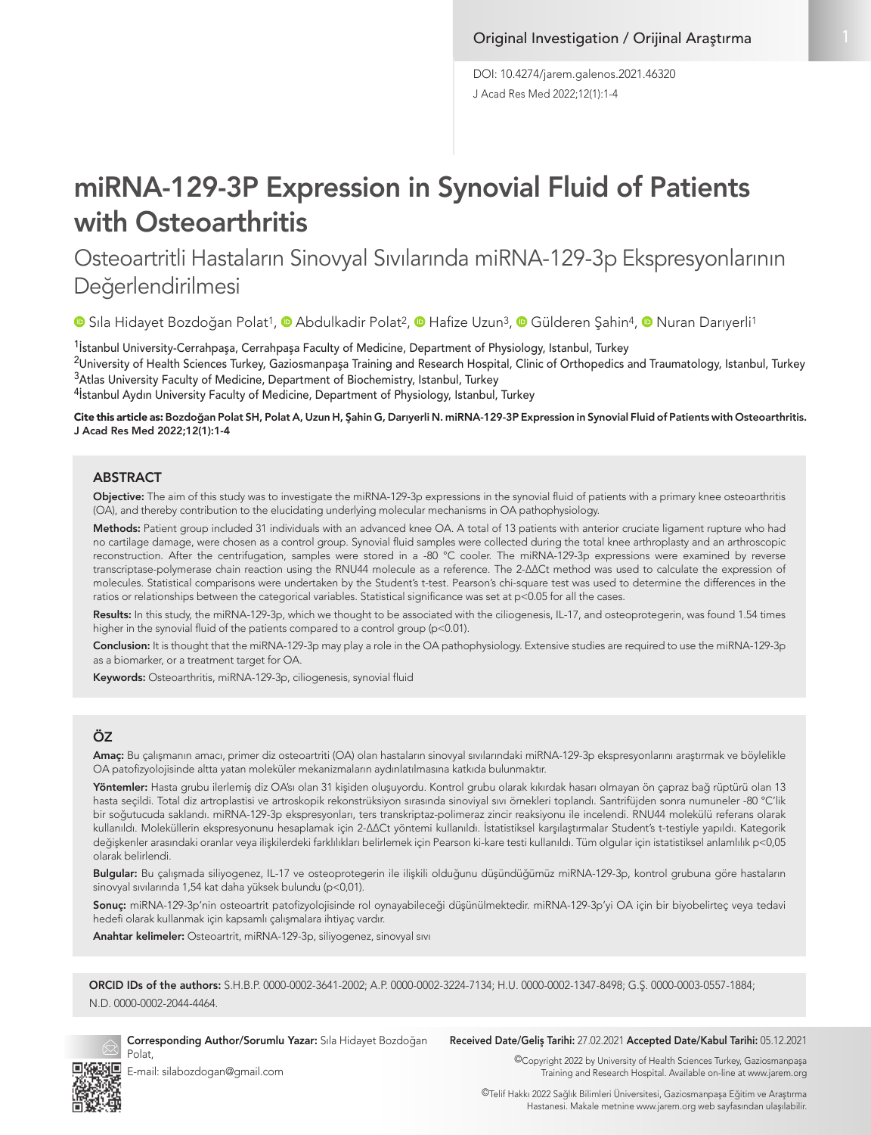J Acad Res Med 2022;12(1):1-4 DOI: 10.4274/jarem.galenos.2021.46320

# miRNA-129-3P Expression in Synovial Fluid of Patients with Osteoarthritis

Osteoartritli Hastaların Sinovyal Sıvılarında miRNA-129-3p Ekspresyonlarının Değerlendirilmesi

**•**Sıla Hidayet Bozdoğan Polat<sup>1</sup>, • Abdulkadir Polat<sup>2</sup>, • Hafize Uzun<sup>3</sup>, • Gülderen Şahin<sup>4</sup>, • Nuran Darıyerli<sup>1</sup>

<sup>1</sup>İstanbul University-Cerrahpaşa, Cerrahpaşa Faculty of Medicine, Department of Physiology, Istanbul, Turkey

<sup>2</sup>University of Health Sciences Turkey, Gaziosmanpaşa Training and Research Hospital, Clinic of Orthopedics and Traumatology, Istanbul, Turkey <sup>3</sup>Atlas University Faculty of Medicine, Department of Biochemistry, Istanbul, Turkey

<sup>4</sup>İstanbul Aydın University Faculty of Medicine, Department of Physiology, Istanbul, Turkey

Cite this article as: Bozdoğan Polat SH, Polat A, Uzun H, Şahin G, Darıyerli N. miRNA-129-3P Expression in Synovial Fluid of Patients with Osteoarthritis. J Acad Res Med 2022;12(1):1-4

#### **ABSTRACT**

Objective: The aim of this study was to investigate the miRNA-129-3p expressions in the synovial fluid of patients with a primary knee osteoarthritis (OA), and thereby contribution to the elucidating underlying molecular mechanisms in OA pathophysiology.

Methods: Patient group included 31 individuals with an advanced knee OA. A total of 13 patients with anterior cruciate ligament rupture who had no cartilage damage, were chosen as a control group. Synovial fluid samples were collected during the total knee arthroplasty and an arthroscopic reconstruction. After the centrifugation, samples were stored in a -80 °C cooler. The miRNA-129-3p expressions were examined by reverse transcriptase-polymerase chain reaction using the RNU44 molecule as a reference. The 2-ΔΔCt method was used to calculate the expression of molecules. Statistical comparisons were undertaken by the Student's t-test. Pearson's chi-square test was used to determine the differences in the ratios or relationships between the categorical variables. Statistical significance was set at p<0.05 for all the cases.

Results: In this study, the miRNA-129-3p, which we thought to be associated with the ciliogenesis, IL-17, and osteoprotegerin, was found 1.54 times higher in the synovial fluid of the patients compared to a control group (p<0.01).

Conclusion: It is thought that the miRNA-129-3p may play a role in the OA pathophysiology. Extensive studies are required to use the miRNA-129-3p as a biomarker, or a treatment target for OA.

Keywords: Osteoarthritis, miRNA-129-3p, ciliogenesis, synovial fluid

## ÖZ

Amaç: Bu çalışmanın amacı, primer diz osteoartriti (OA) olan hastaların sinovyal sıvılarındaki miRNA-129-3p ekspresyonlarını araştırmak ve böylelikle OA patofizyolojisinde altta yatan moleküler mekanizmaların aydınlatılmasına katkıda bulunmaktır.

Yöntemler: Hasta grubu ilerlemiş diz OA'sı olan 31 kişiden oluşuyordu. Kontrol grubu olarak kıkırdak hasarı olmayan ön capraz bağ rüptürü olan 13 hasta seçildi. Total diz artroplastisi ve artroskopik rekonstrüksiyon sırasında sinoviyal sıvı örnekleri toplandı. Santrifüjden sonra numuneler -80 °C'lik bir soğutucuda saklandı. miRNA-129-3p ekspresyonları, ters transkriptaz-polimeraz zincir reaksiyonu ile incelendi. RNU44 molekülü referans olarak kullanıldı. Moleküllerin ekspresyonunu hesaplamak için 2-ΔΔCt yöntemi kullanıldı. İstatistiksel karşılaştırmalar Student's t-testiyle yapıldı. Kategorik değişkenler arasındaki oranlar veya ilişkilerdeki farklılıkları belirlemek için Pearson ki-kare testi kullanıldı. Tüm olgular için istatistiksel anlamlılık p<0,05 olarak belirlendi.

Bulgular: Bu çalışmada siliyogenez, IL-17 ve osteoprotegerin ile ilişkili olduğunu düşündüğümüz miRNA-129-3p, kontrol grubuna göre hastaların sinovyal sıvılarında 1,54 kat daha yüksek bulundu (p<0,01).

Sonuç: miRNA-129-3p'nin osteoartrit patofizyolojisinde rol oynayabileceği düşünülmektedir. miRNA-129-3p'yi OA için bir biyobelirteç veya tedavi hedefi olarak kullanmak için kapsamlı çalışmalara ihtiyaç vardır.

Anahtar kelimeler: Osteoartrit, miRNA-129-3p, siliyogenez, sinovyal sıvı

ORCID IDs of the authors: S.H.B.P. 0000-0002-3641-2002; A.P. 0000-0002-3224-7134; H.U. 0000-0002-1347-8498; G.Ş. 0000-0003-0557-1884; N.D. 0000-0002-2044-4464.



Corresponding Author/Sorumlu Yazar: Sıla Hidayet Bozdoğan Polat,

Received Date/Geliş Tarihi: 27.02.2021 Accepted Date/Kabul Tarihi: 05.12.2021

©Copyright 2022 by University of Health Sciences Turkey, Gaziosmanpaşa Training and Research Hospital. Available on-line at www.jarem.org

E-mail: silabozdogan@gmail.com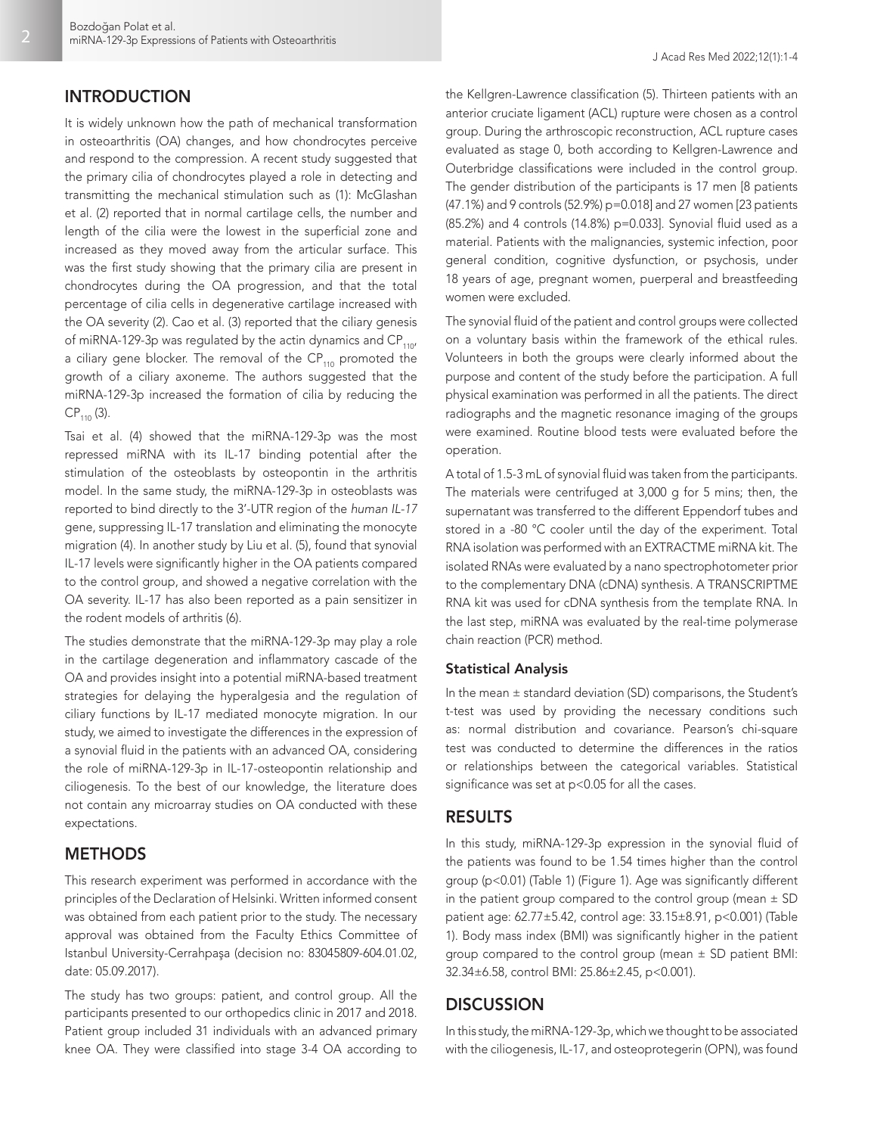# INTRODUCTION

It is widely unknown how the path of mechanical transformation in osteoarthritis (OA) changes, and how chondrocytes perceive and respond to the compression. A recent study suggested that the primary cilia of chondrocytes played a role in detecting and transmitting the mechanical stimulation such as (1): McGlashan et al. (2) reported that in normal cartilage cells, the number and length of the cilia were the lowest in the superficial zone and increased as they moved away from the articular surface. This was the first study showing that the primary cilia are present in chondrocytes during the OA progression, and that the total percentage of cilia cells in degenerative cartilage increased with the OA severity (2). Cao et al. (3) reported that the ciliary genesis of miRNA-129-3p was regulated by the actin dynamics and  $CP_{110}$ a ciliary gene blocker. The removal of the  $CP_{110}$  promoted the growth of a ciliary axoneme. The authors suggested that the miRNA-129-3p increased the formation of cilia by reducing the  $CP_{110}$  (3).

Tsai et al. (4) showed that the miRNA-129-3p was the most repressed miRNA with its IL-17 binding potential after the stimulation of the osteoblasts by osteopontin in the arthritis model. In the same study, the miRNA-129-3p in osteoblasts was reported to bind directly to the 3'-UTR region of the *human IL-17*  gene, suppressing IL-17 translation and eliminating the monocyte migration (4). In another study by Liu et al. (5), found that synovial IL-17 levels were significantly higher in the OA patients compared to the control group, and showed a negative correlation with the OA severity. IL-17 has also been reported as a pain sensitizer in the rodent models of arthritis (6).

The studies demonstrate that the miRNA-129-3p may play a role in the cartilage degeneration and inflammatory cascade of the OA and provides insight into a potential miRNA-based treatment strategies for delaying the hyperalgesia and the regulation of ciliary functions by IL-17 mediated monocyte migration. In our study, we aimed to investigate the differences in the expression of a synovial fluid in the patients with an advanced OA, considering the role of miRNA-129-3p in IL-17-osteopontin relationship and ciliogenesis. To the best of our knowledge, the literature does not contain any microarray studies on OA conducted with these expectations.

# **METHODS**

This research experiment was performed in accordance with the principles of the Declaration of Helsinki. Written informed consent was obtained from each patient prior to the study. The necessary approval was obtained from the Faculty Ethics Committee of Istanbul University-Cerrahpaşa (decision no: 83045809-604.01.02, date: 05.09.2017).

The study has two groups: patient, and control group. All the participants presented to our orthopedics clinic in 2017 and 2018. Patient group included 31 individuals with an advanced primary knee OA. They were classified into stage 3-4 OA according to

the Kellgren-Lawrence classification (5). Thirteen patients with an anterior cruciate ligament (ACL) rupture were chosen as a control group. During the arthroscopic reconstruction, ACL rupture cases evaluated as stage 0, both according to Kellgren-Lawrence and Outerbridge classifications were included in the control group. The gender distribution of the participants is 17 men [8 patients (47.1%) and 9 controls (52.9%) p=0.018] and 27 women [23 patients (85.2%) and 4 controls (14.8%) p=0.033]. Synovial fluid used as a material. Patients with the malignancies, systemic infection, poor general condition, cognitive dysfunction, or psychosis, under 18 years of age, pregnant women, puerperal and breastfeeding women were excluded.

The synovial fluid of the patient and control groups were collected on a voluntary basis within the framework of the ethical rules. Volunteers in both the groups were clearly informed about the purpose and content of the study before the participation. A full physical examination was performed in all the patients. The direct radiographs and the magnetic resonance imaging of the groups were examined. Routine blood tests were evaluated before the operation.

A total of 1.5-3 mL of synovial fluid was taken from the participants. The materials were centrifuged at 3,000 g for 5 mins; then, the supernatant was transferred to the different Eppendorf tubes and stored in a -80 °C cooler until the day of the experiment. Total RNA isolation was performed with an EXTRACTME miRNA kit. The isolated RNAs were evaluated by a nano spectrophotometer prior to the complementary DNA (cDNA) synthesis. A TRANSCRIPTME RNA kit was used for cDNA synthesis from the template RNA. In the last step, miRNA was evaluated by the real-time polymerase chain reaction (PCR) method.

## Statistical Analysis

In the mean ± standard deviation (SD) comparisons, the Student's t-test was used by providing the necessary conditions such as: normal distribution and covariance. Pearson's chi-square test was conducted to determine the differences in the ratios or relationships between the categorical variables. Statistical significance was set at p<0.05 for all the cases.

## RESULTS

In this study, miRNA-129-3p expression in the synovial fluid of the patients was found to be 1.54 times higher than the control group (p<0.01) (Table 1) (Figure 1). Age was significantly different in the patient group compared to the control group (mean  $\pm$  SD patient age: 62.77±5.42, control age: 33.15±8.91, p<0.001) (Table 1). Body mass index (BMI) was significantly higher in the patient group compared to the control group (mean  $\pm$  SD patient BMI: 32.34±6.58, control BMI: 25.86±2.45, p<0.001).

# **DISCUSSION**

In this study, the miRNA-129-3p, which we thought to be associated with the ciliogenesis, IL-17, and osteoprotegerin (OPN), was found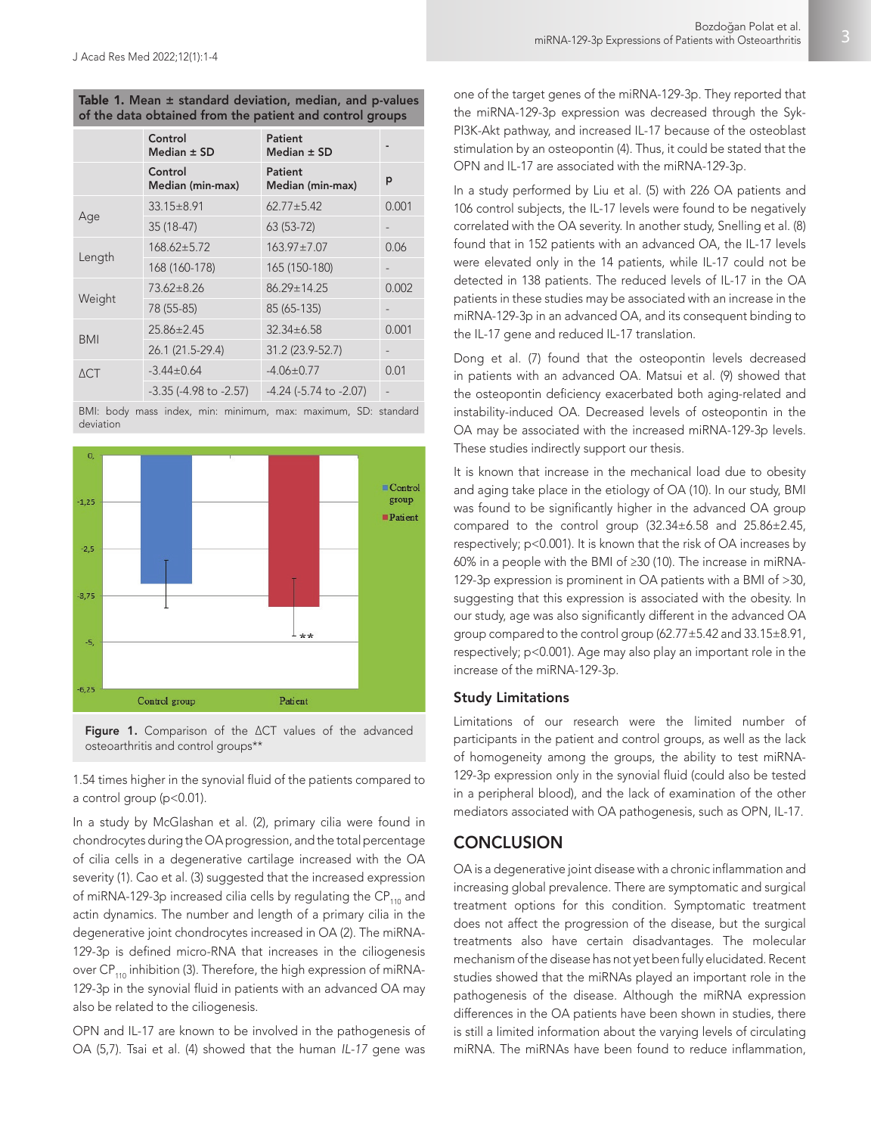| Table 1. Mean $\pm$ standard deviation, median, and p-values |  |  |
|--------------------------------------------------------------|--|--|
| of the data obtained from the patient and control groups     |  |  |

|                | Control<br>Median $\pm$ SD     | Patient<br>Median $\pm$ SD     |       |
|----------------|--------------------------------|--------------------------------|-------|
|                | Control<br>Median (min-max)    | Patient<br>Median (min-max)    | p     |
| Age            | $33.15 \pm 8.91$               | $62.77 \pm 5.42$               | 0.001 |
|                | $35(18-47)$                    | $63(53-72)$                    |       |
| Length         | $168.62 \pm 5.72$              | $163.97 \pm 7.07$              | 0.06  |
|                | 168 (160-178)                  | 165 (150-180)                  |       |
| Weight         | $73.62 \pm 8.26$               | $86.29 \pm 14.25$              | 0.002 |
|                | 78 (55-85)                     | 85 (65-135)                    |       |
| <b>BMI</b>     | $25.86 \pm 2.45$               | $32.34 \pm 6.58$               | 0.001 |
|                | 26.1 (21.5-29.4)               | 31.2 (23.9-52.7)               |       |
| $\triangle$ CT | $-3.44 \pm 0.64$               | $-4.06 \pm 0.77$               | 0.01  |
|                | $-3.35$ ( $-4.98$ to $-2.57$ ) | $-4.24$ ( $-5.74$ to $-2.07$ ) |       |

BMI: body mass index, min: minimum, max: maximum, SD: standard deviation





1.54 times higher in the synovial fluid of the patients compared to a control group (p<0.01).

In a study by McGlashan et al. (2), primary cilia were found in chondrocytes during the OA progression, and the total percentage of cilia cells in a degenerative cartilage increased with the OA severity (1). Cao et al. (3) suggested that the increased expression of miRNA-129-3p increased cilia cells by regulating the  $CP_{110}$  and actin dynamics. The number and length of a primary cilia in the degenerative joint chondrocytes increased in OA (2). The miRNA-129-3p is defined micro-RNA that increases in the ciliogenesis over CP<sub>110</sub> inhibition (3). Therefore, the high expression of miRNA-129-3p in the synovial fluid in patients with an advanced OA may also be related to the ciliogenesis.

OPN and IL-17 are known to be involved in the pathogenesis of OA (5,7). Tsai et al. (4) showed that the human *IL-17* gene was one of the target genes of the miRNA-129-3p. They reported that the miRNA-129-3p expression was decreased through the Syk-PI3K-Akt pathway, and increased IL-17 because of the osteoblast stimulation by an osteopontin (4). Thus, it could be stated that the OPN and IL-17 are associated with the miRNA-129-3p.

In a study performed by Liu et al. (5) with 226 OA patients and 106 control subjects, the IL-17 levels were found to be negatively correlated with the OA severity. In another study, Snelling et al. (8) found that in 152 patients with an advanced OA, the IL-17 levels were elevated only in the 14 patients, while IL-17 could not be detected in 138 patients. The reduced levels of IL-17 in the OA patients in these studies may be associated with an increase in the miRNA-129-3p in an advanced OA, and its consequent binding to the IL-17 gene and reduced IL-17 translation.

Dong et al. (7) found that the osteopontin levels decreased in patients with an advanced OA. Matsui et al. (9) showed that the osteopontin deficiency exacerbated both aging-related and instability-induced OA. Decreased levels of osteopontin in the OA may be associated with the increased miRNA-129-3p levels. These studies indirectly support our thesis.

It is known that increase in the mechanical load due to obesity and aging take place in the etiology of OA (10). In our study, BMI was found to be significantly higher in the advanced OA group compared to the control group (32.34±6.58 and 25.86±2.45, respectively; p<0.001). It is known that the risk of OA increases by 60% in a people with the BMI of ≥30 (10). The increase in miRNA-129-3p expression is prominent in OA patients with a BMI of >30, suggesting that this expression is associated with the obesity. In our study, age was also significantly different in the advanced OA group compared to the control group (62.77±5.42 and 33.15±8.91, respectively; p<0.001). Age may also play an important role in the increase of the miRNA-129-3p.

#### Study Limitations

Limitations of our research were the limited number of participants in the patient and control groups, as well as the lack of homogeneity among the groups, the ability to test miRNA-129-3p expression only in the synovial fluid (could also be tested in a peripheral blood), and the lack of examination of the other mediators associated with OA pathogenesis, such as OPN, IL-17.

## **CONCLUSION**

OA is a degenerative joint disease with a chronic inflammation and increasing global prevalence. There are symptomatic and surgical treatment options for this condition. Symptomatic treatment does not affect the progression of the disease, but the surgical treatments also have certain disadvantages. The molecular mechanism of the disease has not yet been fully elucidated. Recent studies showed that the miRNAs played an important role in the pathogenesis of the disease. Although the miRNA expression differences in the OA patients have been shown in studies, there is still a limited information about the varying levels of circulating miRNA. The miRNAs have been found to reduce inflammation,